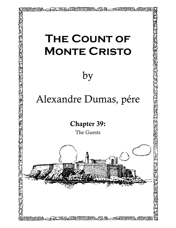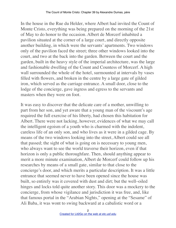In the house in the Rue du Helder, where Albert had invited the Count of Monte Cristo, everything was being prepared on the morning of the 21st of May to do honor to the occasion. Albert de Morcerf inhabited a pavilion situated at the corner of a large court, and directly opposite another building, in which were the servants' apartments. Two windows only of the pavilion faced the street; three other windows looked into the court, and two at the back into the garden. Between the court and the garden, built in the heavy style of the imperial architecture, was the large and fashionable dwelling of the Count and Countess of Morcerf. A high wall surrounded the whole of the hotel, surmounted at intervals by vases filled with flowers, and broken in the centre by a large gate of gilded iron, which served as the carriage entrance. A small door, close to the lodge of the concierge, gave ingress and egress to the servants and masters when they were on foot.

It was easy to discover that the delicate care of a mother, unwilling to part from her son, and yet aware that a young man of the viscount's age required the full exercise of his liberty, had chosen this habitation for Albert. There were not lacking, however, evidences of what we may call the intelligent egoism of a youth who is charmed with the indolent, careless life of an only son, and who lives as it were in a gilded cage. By means of the two windows looking into the street, Albert could see all that passed; the sight of what is going on is necessary to young men, who always want to see the world traverse their horizon, even if that horizon is only a public thoroughfare. Then, should anything appear to merit a more minute examination, Albert de Morcerf could follow up his researches by means of a small gate, similar to that close to the concierge's door, and which merits a particular description. It was a little entrance that seemed never to have been opened since the house was built, so entirely was it covered with dust and dirt; but the well–oiled hinges and locks told quite another story. This door was a mockery to the concierge, from whose vigilance and jurisdiction it was free, and, like that famous portal in the "Arabian Nights," opening at the "Sesame" of Ali Baba, it was wont to swing backward at a cabalistic word or a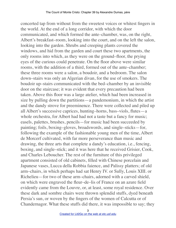concerted tap from without from the sweetest voices or whitest fingers in the world. At the end of a long corridor, with which the door communicated, and which formed the ante–chamber, was, on the right, Albert's breakfast–room, looking into the court, and on the left the salon, looking into the garden. Shrubs and creeping plants covered the windows, and hid from the garden and court these two apartments, the only rooms into which, as they were on the ground–floor, the prying eyes of the curious could penetrate. On the floor above were similar rooms, with the addition of a third, formed out of the ante–chamber; these three rooms were a salon, a boudoir, and a bedroom. The salon down–stairs was only an Algerian divan, for the use of smokers. The boudoir up–stairs communicated with the bed–chamber by an invisible door on the staircase; it was evident that every precaution had been taken. Above this floor was a large atelier, which had been increased in size by pulling down the partitions—a pandemonium, in which the artist and the dandy strove for preeminence. There were collected and piled up all Albert's successive caprices, hunting–horns, bass–viols, flutes—a whole orchestra, for Albert had had not a taste but a fancy for music; easels, palettes, brushes, pencils—for music had been succeeded by painting; foils, boxing–gloves, broadswords, and single–sticks—for, following the example of the fashionable young men of the time, Albert de Morcerf cultivated, with far more perseverance than music and drawing, the three arts that complete a dandy's education, i.e., fencing, boxing, and single–stick; and it was here that he received Grisier, Cook, and Charles Leboucher. The rest of the furniture of this privileged apartment consisted of old cabinets, filled with Chinese porcelain and Japanese vases, Lucca della Robbia faience, and Palissy platters; of old arm–chairs, in which perhaps had sat Henry IV. or Sully, Louis XIII. or Richelieu—for two of these arm–chairs, adorned with a carved shield, on which were engraved the fleur–de–lis of France on an azure field evidently came from the Louvre, or, at least, some royal residence. Over these dark and sombre chairs were thrown splendid stuffs, dyed beneath Persia's sun, or woven by the fingers of the women of Calcutta or of Chandernagor. What these stuffs did there, it was impossible to say; they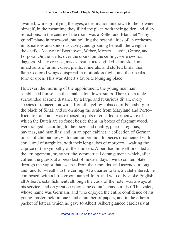awaited, while gratifying the eyes, a destination unknown to their owner himself; in the meantime they filled the place with their golden and silky reflections. In the centre of the room was a Roller and Blanchet "baby grand" piano in rosewood, but holding the potentialities of an orchestra in its narrow and sonorous cavity, and groaning beneath the weight of the chefs–d'oeuvre of Beethoven, Weber, Mozart, Haydn, Gretry, and Porpora. On the walls, over the doors, on the ceiling, were swords, daggers, Malay creeses, maces, battle–axes; gilded, damasked, and inlaid suits of armor; dried plants, minerals, and stuffed birds, their flame–colored wings outspread in motionless flight, and their beaks forever open. This was Albert's favorite lounging place.

However, the morning of the appointment, the young man had established himself in the small salon down–stairs. There, on a table, surrounded at some distance by a large and luxurious divan, every species of tobacco known,—from the yellow tobacco of Petersburg to the black of Sinai, and so on along the scale from Maryland and Porto– Rico, to Latakia,—was exposed in pots of crackled earthenware of which the Dutch are so fond; beside them, in boxes of fragrant wood, were ranged, according to their size and quality, pueros, regalias, havanas, and manillas; and, in an open cabinet, a collection of German pipes, of chibouques, with their amber mouth–pieces ornamented with coral, and of narghiles, with their long tubes of morocco, awaiting the caprice or the sympathy of the smokers. Albert had himself presided at the arrangement, or, rather, the symmetrical derangement, which, after coffee, the guests at a breakfast of modern days love to contemplate through the vapor that escapes from their mouths, and ascends in long and fanciful wreaths to the ceiling. At a quarter to ten, a valet entered; he composed, with a little groom named John, and who only spoke English, all Albert's establishment, although the cook of the hotel was always at his service, and on great occasions the count's chasseur also. This valet, whose name was Germain, and who enjoyed the entire confidence of his young master, held in one hand a number of papers, and in the other a packet of letters, which he gave to Albert. Albert glanced carelessly at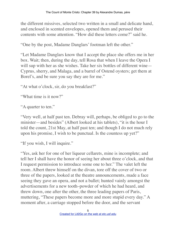the different missives, selected two written in a small and delicate hand, and enclosed in scented envelopes, opened them and perused their contents with some attention. "How did these letters come?" said he.

"One by the post, Madame Danglars' footman left the other."

"Let Madame Danglars know that I accept the place she offers me in her box. Wait; then, during the day, tell Rosa that when I leave the Opera I will sup with her as she wishes. Take her six bottles of different wine— Cyprus, sherry, and Malaga, and a barrel of Ostend oysters; get them at Borel's, and be sure you say they are for me."

"At what o'clock, sir, do you breakfast?"

"What time is it now?"

"A quarter to ten."

"Very well, at half past ten. Debray will, perhaps, be obliged to go to the minister—and besides" (Albert looked at his tablets), "it is the hour I told the count, 21st May, at half past ten; and though I do not much rely upon his promise, I wish to be punctual. Is the countess up yet?"

"If you wish, I will inquire."

"Yes, ask her for one of her liqueur cellarets, mine is incomplete; and tell her I shall have the honor of seeing her about three o'clock, and that I request permission to introduce some one to her." The valet left the room. Albert threw himself on the divan, tore off the cover of two or three of the papers, looked at the theatre announcements, made a face seeing they gave an opera, and not a ballet; hunted vainly amongst the advertisements for a new tooth–powder of which he had heard, and threw down, one after the other, the three leading papers of Paris, muttering, "These papers become more and more stupid every day." A moment after, a carriage stopped before the door, and the servant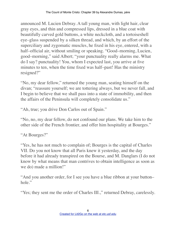announced M. Lucien Debray. A tall young man, with light hair, clear gray eyes, and thin and compressed lips, dressed in a blue coat with beautifully carved gold buttons, a white neckcloth, and a tortoiseshell eye–glass suspended by a silken thread, and which, by an effort of the superciliary and zygomatic muscles, he fixed in his eye, entered, with a half–official air, without smiling or speaking. "Good–morning, Lucien, good–morning," said Albert; "your punctuality really alarms me. What do I say? punctuality! You, whom I expected last, you arrive at five minutes to ten, when the time fixed was half–past! Has the ministry resigned?"

"No, my dear fellow," returned the young man, seating himself on the divan; "reassure yourself; we are tottering always, but we never fall, and I begin to believe that we shall pass into a state of immobility, and then the affairs of the Peninsula will completely consolidate us."

"Ah, true; you drive Don Carlos out of Spain."

"No, no, my dear fellow, do not confound our plans. We take him to the other side of the French frontier, and offer him hospitality at Bourges."

"At Bourges?"

"Yes, he has not much to complain of; Bourges is the capital of Charles VII. Do you not know that all Paris knew it yesterday, and the day before it had already transpired on the Bourse, and M. Danglars (I do not know by what means that man contrives to obtain intelligence as soon as we do) made a million!"

"And you another order, for I see you have a blue ribbon at your button– hole."

"Yes; they sent me the order of Charles III.," returned Debray, carelessly.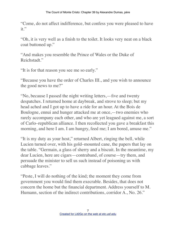"Come, do not affect indifference, but confess you were pleased to have  $it$ "

"Oh, it is very well as a finish to the toilet. It looks very neat on a black coat buttoned up."

"And makes you resemble the Prince of Wales or the Duke of Reichstadt."

"It is for that reason you see me so early."

"Because you have the order of Charles III., and you wish to announce the good news to me?"

"No, because I passed the night writing letters,—five and twenty despatches. I returned home at daybreak, and strove to sleep; but my head ached and I got up to have a ride for an hour. At the Bois de Boulogne, ennui and hunger attacked me at once,—two enemies who rarely accompany each other, and who are yet leagued against me, a sort of Carlo–republican alliance. I then recollected you gave a breakfast this morning, and here I am. I am hungry, feed me; I am bored, amuse me."

"It is my duty as your host," returned Albert, ringing the bell, while Lucien turned over, with his gold–mounted cane, the papers that lay on the table. "Germain, a glass of sherry and a biscuit. In the meantime, my dear Lucien, here are cigars—contraband, of course—try them, and persuade the minister to sell us such instead of poisoning us with cabbage leaves."

"Peste, I will do nothing of the kind; the moment they come from government you would find them execrable. Besides, that does not concern the home but the financial department. Address yourself to M. Humann, section of the indirect contributions, corridor A., No. 26."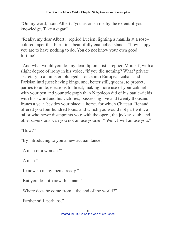"On my word," said Albert, "you astonish me by the extent of your knowledge. Take a cigar."

"Really, my dear Albert," replied Lucien, lighting a manilla at a rose– colored taper that burnt in a beautifully enamelled stand—"how happy you are to have nothing to do. You do not know your own good fortune!"

"And what would you do, my dear diplomatist," replied Morcerf, with a slight degree of irony in his voice, "if you did nothing? What? private secretary to a minister, plunged at once into European cabals and Parisian intrigues; having kings, and, better still, queens, to protect, parties to unite, elections to direct; making more use of your cabinet with your pen and your telegraph than Napoleon did of his battle–fields with his sword and his victories; possessing five and twenty thousand francs a year, besides your place; a horse, for which Chateau–Renaud offered you four hundred louis, and which you would not part with; a tailor who never disappoints you; with the opera, the jockey–club, and other diversions, can you not amuse yourself? Well, I will amuse you."

"How?"

"By introducing to you a new acquaintance."

"A man or a woman?"

"A man."

"I know so many men already."

"But you do not know this man."

"Where does he come from—the end of the world?"

"Farther still, perhaps."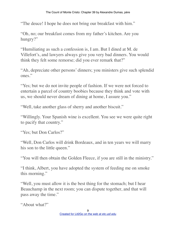"The deuce! I hope he does not bring our breakfast with him."

"Oh, no; our breakfast comes from my father's kitchen. Are you hungry?"

"Humiliating as such a confession is, I am. But I dined at M. de Villefort's, and lawyers always give you very bad dinners. You would think they felt some remorse; did you ever remark that?"

"Ah, depreciate other persons' dinners; you ministers give such splendid ones."

"Yes; but we do not invite people of fashion. If we were not forced to entertain a parcel of country boobies because they think and vote with us, we should never dream of dining at home, I assure you."

"Well, take another glass of sherry and another biscuit."

"Willingly. Your Spanish wine is excellent. You see we were quite right to pacify that country."

"Yes; but Don Carlos?"

"Well, Don Carlos will drink Bordeaux, and in ten years we will marry his son to the little queen."

"You will then obtain the Golden Fleece, if you are still in the ministry."

"I think, Albert, you have adopted the system of feeding me on smoke this morning."

"Well, you must allow it is the best thing for the stomach; but I hear Beauchamp in the next room; you can dispute together, and that will pass away the time."

"About what?"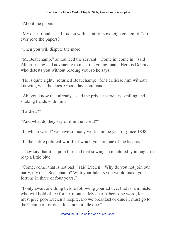"About the papers."

"My dear friend," said Lucien with an air of sovereign contempt, "do I ever read the papers?"

"Then you will dispute the more."

"M. Beauchamp," announced the servant. "Come in, come in," said Albert, rising and advancing to meet the young man. "Here is Debray, who detests you without reading you, so he says."

"He is quite right," returned Beauchamp; "for I criticise him without knowing what he does. Good–day, commander!"

"Ah, you know that already," said the private secretary, smiling and shaking hands with him.

"Pardieu?"

"And what do they say of it in the world?"

"In which world? we have so many worlds in the year of grace 1838."

"In the entire political world, of which you are one of the leaders."

"They say that it is quite fair, and that sowing so much red, you ought to reap a little blue."

"Come, come, that is not bad!" said Lucien. "Why do you not join our party, my dear Beauchamp? With your talents you would make your fortune in three or four years."

"I only await one thing before following your advice; that is, a minister who will hold office for six months. My dear Albert, one word, for I must give poor Lucien a respite. Do we breakfast or dine? I must go to the Chamber, for our life is not an idle one."